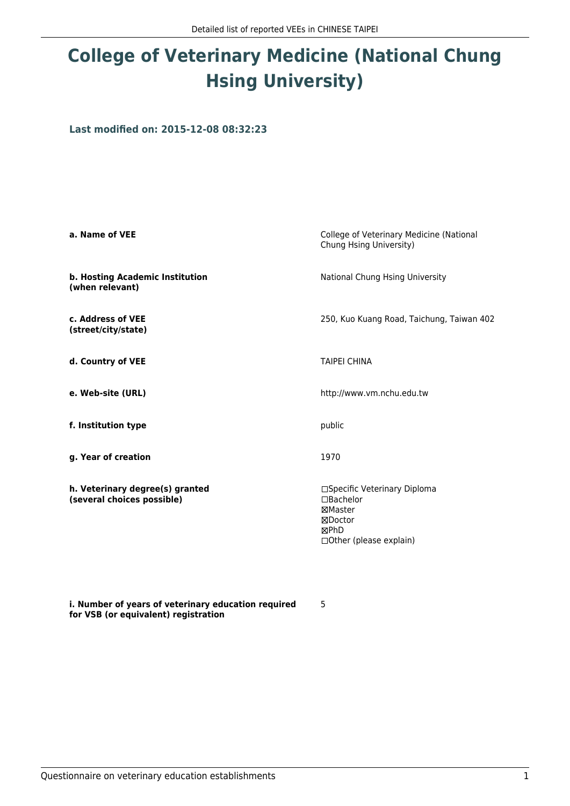# **College of Veterinary Medicine (National Chung Hsing University)**

**Last modified on: 2015-12-08 08:32:23**

| a. Name of VEE                                                | College of Veterinary Medicine (National<br>Chung Hsing University)                                 |
|---------------------------------------------------------------|-----------------------------------------------------------------------------------------------------|
| b. Hosting Academic Institution<br>(when relevant)            | National Chung Hsing University                                                                     |
| c. Address of VEE<br>(street/city/state)                      | 250, Kuo Kuang Road, Taichung, Taiwan 402                                                           |
| d. Country of VEE                                             | <b>TAIPEI CHINA</b>                                                                                 |
| e. Web-site (URL)                                             | http://www.vm.nchu.edu.tw                                                                           |
| f. Institution type                                           | public                                                                                              |
| g. Year of creation                                           | 1970                                                                                                |
| h. Veterinary degree(s) granted<br>(several choices possible) | □Specific Veterinary Diploma<br>□Bachelor<br>⊠Master<br>⊠Doctor<br>⊠PhD<br>□ Other (please explain) |

5

**i. Number of years of veterinary education required for VSB (or equivalent) registration**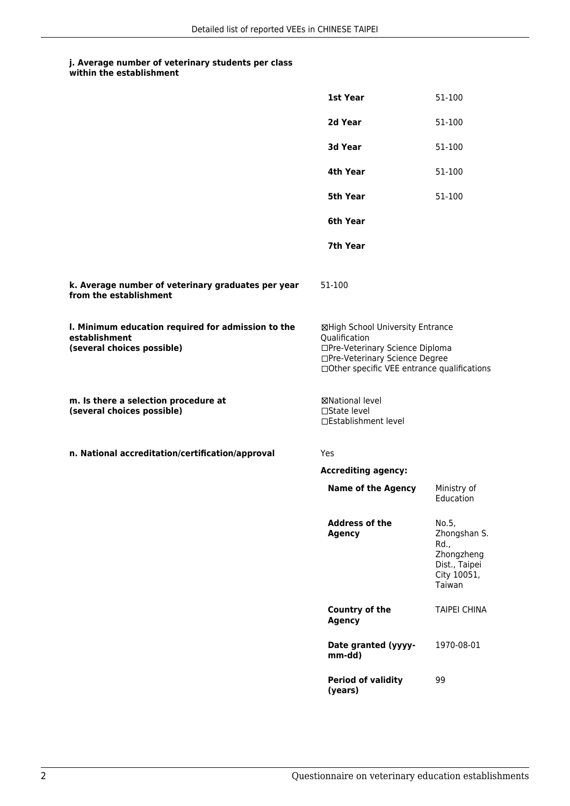**within the establishment**

|                                                                                                   | 1st Year                                                                                                                                                              | 51-100                                                                                |
|---------------------------------------------------------------------------------------------------|-----------------------------------------------------------------------------------------------------------------------------------------------------------------------|---------------------------------------------------------------------------------------|
|                                                                                                   | 2d Year                                                                                                                                                               | 51-100                                                                                |
|                                                                                                   | 3d Year                                                                                                                                                               | 51-100                                                                                |
|                                                                                                   | 4th Year                                                                                                                                                              | 51-100                                                                                |
|                                                                                                   | 5th Year                                                                                                                                                              | 51-100                                                                                |
|                                                                                                   | 6th Year                                                                                                                                                              |                                                                                       |
|                                                                                                   | 7th Year                                                                                                                                                              |                                                                                       |
| k. Average number of veterinary graduates per year<br>from the establishment                      | 51-100                                                                                                                                                                |                                                                                       |
| I. Minimum education required for admission to the<br>establishment<br>(several choices possible) | ⊠High School University Entrance<br>Qualification<br>□Pre-Veterinary Science Diploma<br>□Pre-Veterinary Science Degree<br>□Other specific VEE entrance qualifications |                                                                                       |
| m. Is there a selection procedure at<br>(several choices possible)                                | ⊠National level<br>$\Box$ State level<br>□Establishment level                                                                                                         |                                                                                       |
| n. National accreditation/certification/approval                                                  | Yes                                                                                                                                                                   |                                                                                       |
|                                                                                                   | <b>Accrediting agency:</b>                                                                                                                                            |                                                                                       |
|                                                                                                   | <b>Name of the Agency</b>                                                                                                                                             | Ministry of<br>Education                                                              |
|                                                                                                   | <b>Address of the</b><br><b>Agency</b>                                                                                                                                | No.5,<br>Zhongshan S.<br>Rd.,<br>Zhongzheng<br>Dist., Taipei<br>City 10051,<br>Taiwan |
|                                                                                                   | Country of the<br><b>Agency</b>                                                                                                                                       | <b>TAIPEI CHINA</b>                                                                   |
|                                                                                                   | Date granted (yyyy-<br>mm-dd)                                                                                                                                         | 1970-08-01                                                                            |
|                                                                                                   | <b>Period of validity</b><br>(years)                                                                                                                                  | 99                                                                                    |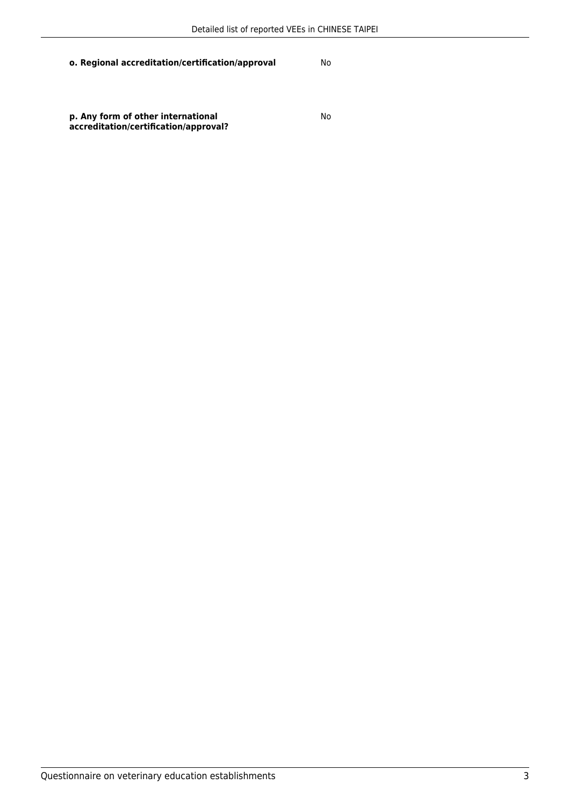**o. Regional accreditation/certification/approval** No

**p. Any form of other international accreditation/certification/approval?** No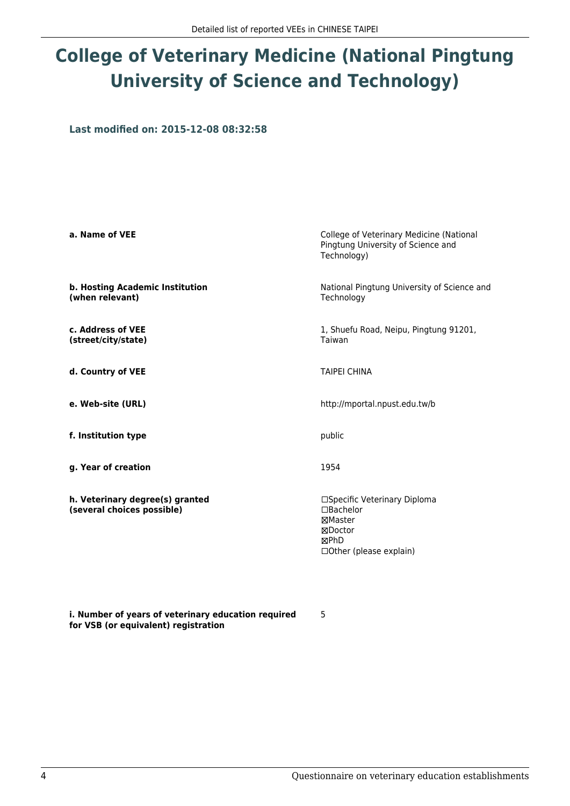# **College of Veterinary Medicine (National Pingtung University of Science and Technology)**

**Last modified on: 2015-12-08 08:32:58**

| a. Name of VEE                                                | College of Veterinary Medicine (National<br>Pingtung University of Science and<br>Technology)              |
|---------------------------------------------------------------|------------------------------------------------------------------------------------------------------------|
| b. Hosting Academic Institution<br>(when relevant)            | National Pingtung University of Science and<br>Technology                                                  |
| c. Address of VEE<br>(street/city/state)                      | 1, Shuefu Road, Neipu, Pingtung 91201,<br>Taiwan                                                           |
| d. Country of VEE                                             | <b>TAIPEI CHINA</b>                                                                                        |
| e. Web-site (URL)                                             | http://mportal.npust.edu.tw/b                                                                              |
| f. Institution type                                           | public                                                                                                     |
| g. Year of creation                                           | 1954                                                                                                       |
| h. Veterinary degree(s) granted<br>(several choices possible) | □Specific Veterinary Diploma<br>□Bachelor<br>⊠Master<br>⊠Doctor<br><b>MPhD</b><br>□ Other (please explain) |

**i. Number of years of veterinary education required for VSB (or equivalent) registration**

5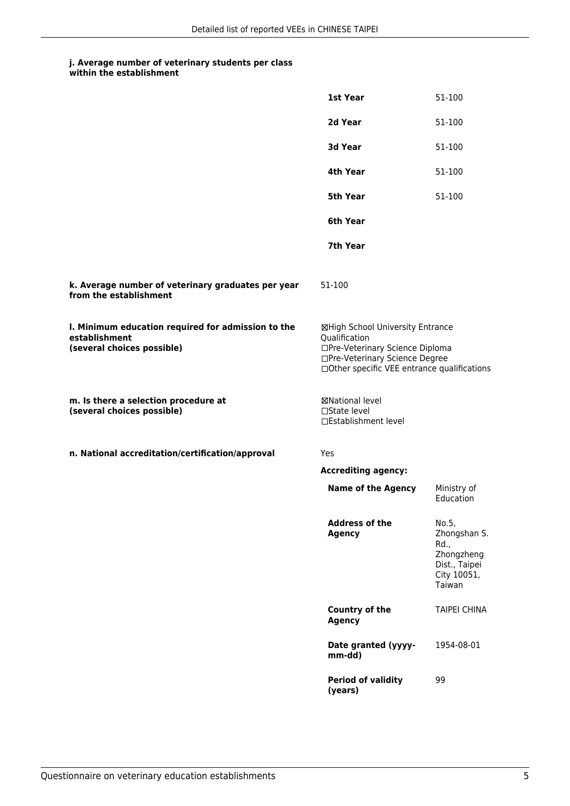**within the establishment**

|                                                                                                   | 1st Year                                                                                                                                                              | 51-100                                                                                |
|---------------------------------------------------------------------------------------------------|-----------------------------------------------------------------------------------------------------------------------------------------------------------------------|---------------------------------------------------------------------------------------|
|                                                                                                   | 2d Year                                                                                                                                                               | 51-100                                                                                |
|                                                                                                   | 3d Year                                                                                                                                                               | 51-100                                                                                |
|                                                                                                   | 4th Year                                                                                                                                                              | 51-100                                                                                |
|                                                                                                   | <b>5th Year</b>                                                                                                                                                       | 51-100                                                                                |
|                                                                                                   | 6th Year                                                                                                                                                              |                                                                                       |
|                                                                                                   | 7th Year                                                                                                                                                              |                                                                                       |
| k. Average number of veterinary graduates per year<br>from the establishment                      | 51-100                                                                                                                                                                |                                                                                       |
| I. Minimum education required for admission to the<br>establishment<br>(several choices possible) | ⊠High School University Entrance<br>Qualification<br>□Pre-Veterinary Science Diploma<br>□Pre-Veterinary Science Degree<br>□Other specific VEE entrance qualifications |                                                                                       |
| m. Is there a selection procedure at<br>(several choices possible)                                | ⊠National level<br>$\Box$ State level<br>□Establishment level                                                                                                         |                                                                                       |
| n. National accreditation/certification/approval                                                  | <b>Yes</b>                                                                                                                                                            |                                                                                       |
|                                                                                                   | <b>Accrediting agency:</b>                                                                                                                                            |                                                                                       |
|                                                                                                   | <b>Name of the Agency</b>                                                                                                                                             | Ministry of<br>Education                                                              |
|                                                                                                   | <b>Address of the</b><br><b>Agency</b>                                                                                                                                | No.5,<br>Zhongshan S.<br>Rd.,<br>Zhongzheng<br>Dist., Taipei<br>City 10051,<br>Taiwan |
|                                                                                                   | Country of the<br><b>Agency</b>                                                                                                                                       | <b>TAIPEI CHINA</b>                                                                   |
|                                                                                                   | Date granted (yyyy-<br>mm-dd)                                                                                                                                         | 1954-08-01                                                                            |
|                                                                                                   | <b>Period of validity</b><br>(years)                                                                                                                                  | 99                                                                                    |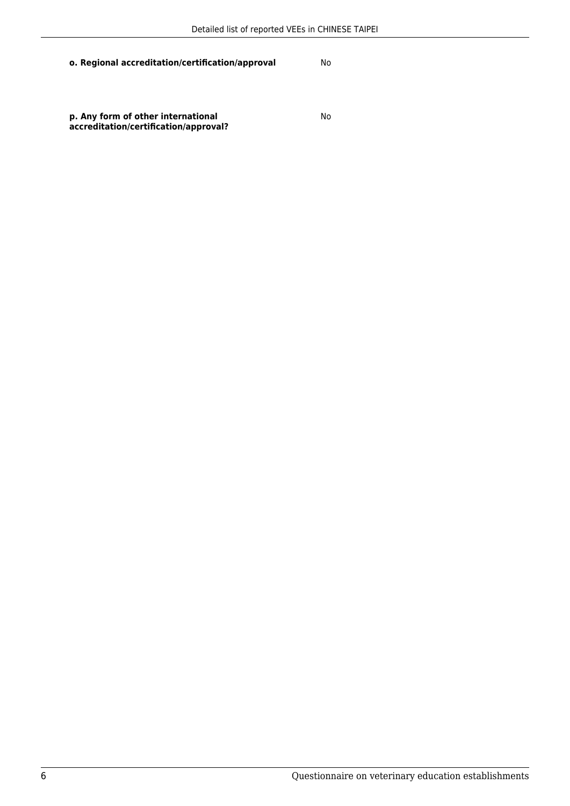**o. Regional accreditation/certification/approval** No

**p. Any form of other international accreditation/certification/approval?** No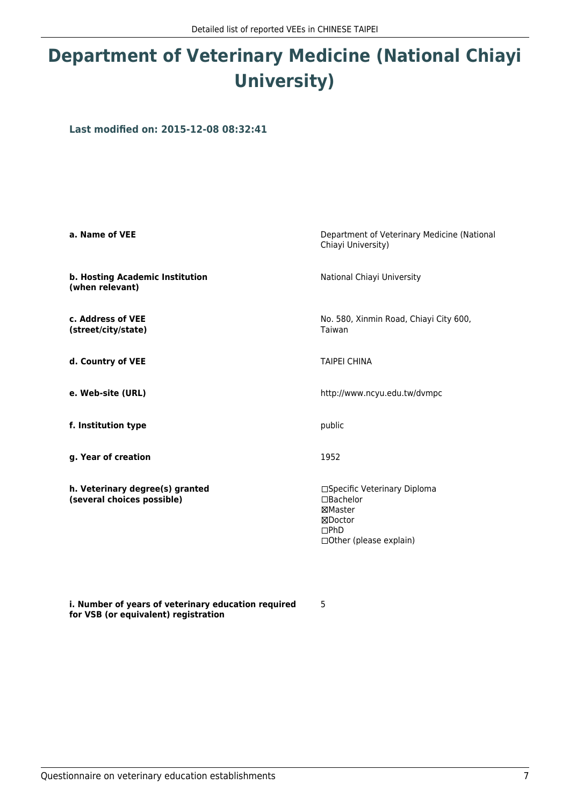## **Department of Veterinary Medicine (National Chiayi University)**

**Last modified on: 2015-12-08 08:32:41**

| a. Name of VEE                                                | Department of Veterinary Medicine (National<br>Chiayi University)                                         |
|---------------------------------------------------------------|-----------------------------------------------------------------------------------------------------------|
| b. Hosting Academic Institution<br>(when relevant)            | National Chiayi University                                                                                |
| c. Address of VEE<br>(street/city/state)                      | No. 580, Xinmin Road, Chiayi City 600,<br>Taiwan                                                          |
| d. Country of VEE                                             | <b>TAIPEI CHINA</b>                                                                                       |
| e. Web-site (URL)                                             | http://www.ncyu.edu.tw/dvmpc                                                                              |
| f. Institution type                                           | public                                                                                                    |
| g. Year of creation                                           | 1952                                                                                                      |
| h. Veterinary degree(s) granted<br>(several choices possible) | □Specific Veterinary Diploma<br>□Bachelor<br>⊠Master<br>⊠Doctor<br>$\Box$ PhD<br>□ Other (please explain) |

5

**i. Number of years of veterinary education required for VSB (or equivalent) registration**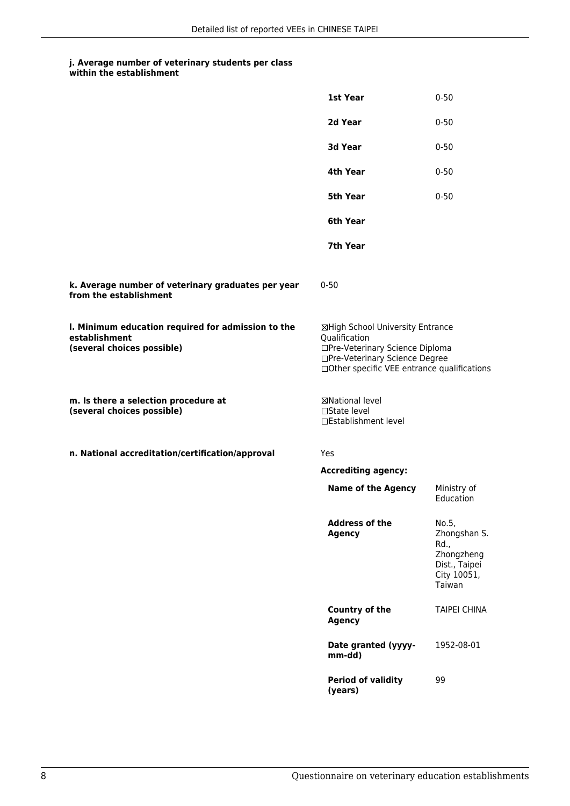|                                                                                                   | 1st Year                                                                                                                                                              | $0 - 50$                                                                              |
|---------------------------------------------------------------------------------------------------|-----------------------------------------------------------------------------------------------------------------------------------------------------------------------|---------------------------------------------------------------------------------------|
|                                                                                                   | 2d Year                                                                                                                                                               | $0 - 50$                                                                              |
|                                                                                                   | 3d Year                                                                                                                                                               | $0 - 50$                                                                              |
|                                                                                                   | 4th Year                                                                                                                                                              | $0 - 50$                                                                              |
|                                                                                                   | 5th Year                                                                                                                                                              | $0 - 50$                                                                              |
|                                                                                                   | 6th Year                                                                                                                                                              |                                                                                       |
|                                                                                                   | 7th Year                                                                                                                                                              |                                                                                       |
| k. Average number of veterinary graduates per year<br>from the establishment                      | $0 - 50$                                                                                                                                                              |                                                                                       |
| I. Minimum education required for admission to the<br>establishment<br>(several choices possible) | ⊠High School University Entrance<br>Qualification<br>□Pre-Veterinary Science Diploma<br>□Pre-Veterinary Science Degree<br>□Other specific VEE entrance qualifications |                                                                                       |
| m. Is there a selection procedure at<br>(several choices possible)                                | ⊠National level<br>□State level<br>□Establishment level                                                                                                               |                                                                                       |
| n. National accreditation/certification/approval                                                  | Yes                                                                                                                                                                   |                                                                                       |
|                                                                                                   | <b>Accrediting agency:</b>                                                                                                                                            |                                                                                       |
|                                                                                                   | <b>Name of the Agency</b>                                                                                                                                             | Ministry of<br>Education                                                              |
|                                                                                                   | <b>Address of the</b><br><b>Agency</b>                                                                                                                                | No.5,<br>Zhongshan S.<br>Rd.,<br>Zhongzheng<br>Dist., Taipei<br>City 10051,<br>Taiwan |
|                                                                                                   | <b>Country of the</b><br><b>Agency</b>                                                                                                                                | <b>TAIPEI CHINA</b>                                                                   |
|                                                                                                   | Date granted (yyyy-<br>mm-dd)                                                                                                                                         | 1952-08-01                                                                            |
|                                                                                                   | <b>Period of validity</b><br>(years)                                                                                                                                  | 99                                                                                    |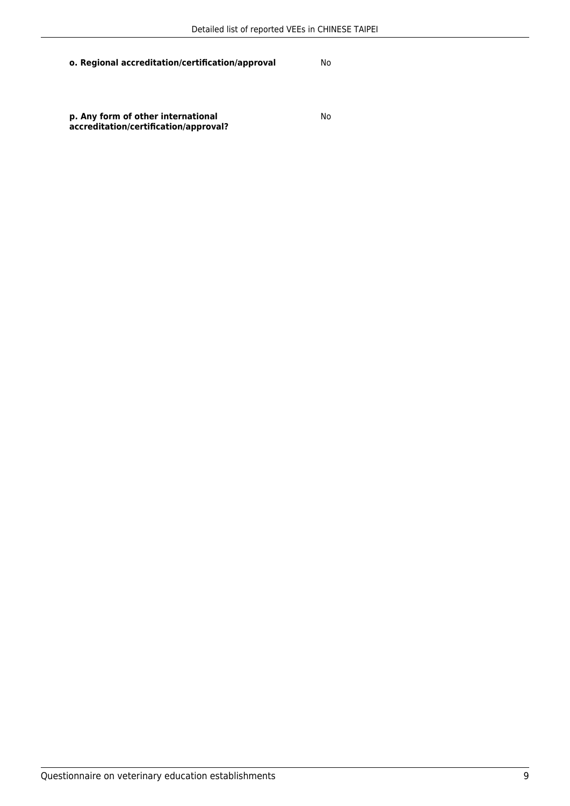**o. Regional accreditation/certification/approval** No

**p. Any form of other international accreditation/certification/approval?** No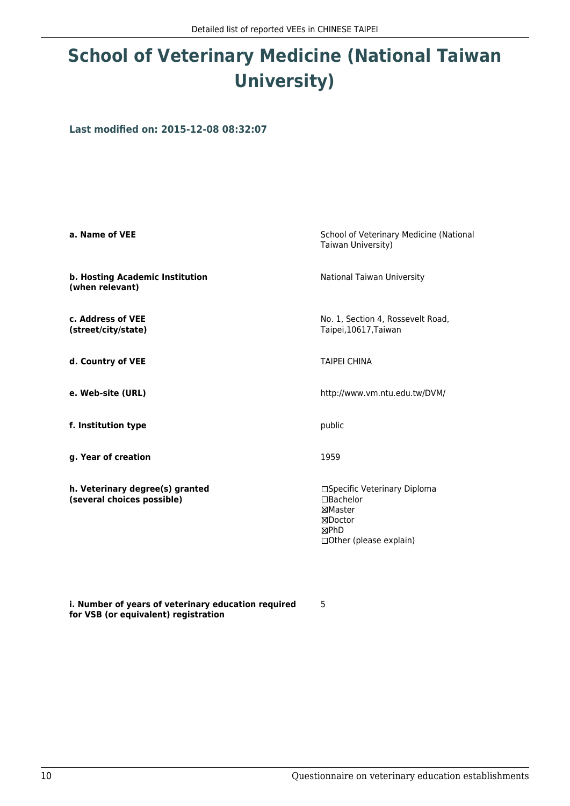# **School of Veterinary Medicine (National Taiwan University)**

**Last modified on: 2015-12-08 08:32:07**

| a. Name of VEE                                                | School of Veterinary Medicine (National<br>Taiwan University)                                                  |
|---------------------------------------------------------------|----------------------------------------------------------------------------------------------------------------|
| b. Hosting Academic Institution<br>(when relevant)            | National Taiwan University                                                                                     |
| c. Address of VEE<br>(street/city/state)                      | No. 1, Section 4, Rossevelt Road,<br>Taipei, 10617, Taiwan                                                     |
| d. Country of VEE                                             | <b>TAIPEI CHINA</b>                                                                                            |
| e. Web-site (URL)                                             | http://www.vm.ntu.edu.tw/DVM/                                                                                  |
| f. Institution type                                           | public                                                                                                         |
| g. Year of creation                                           | 1959                                                                                                           |
| h. Veterinary degree(s) granted<br>(several choices possible) | □Specific Veterinary Diploma<br>$\Box$ Bachelor<br>⊠Master<br>⊠Doctor<br>⊠PhD<br>$\Box$ Other (please explain) |

5

**i. Number of years of veterinary education required for VSB (or equivalent) registration**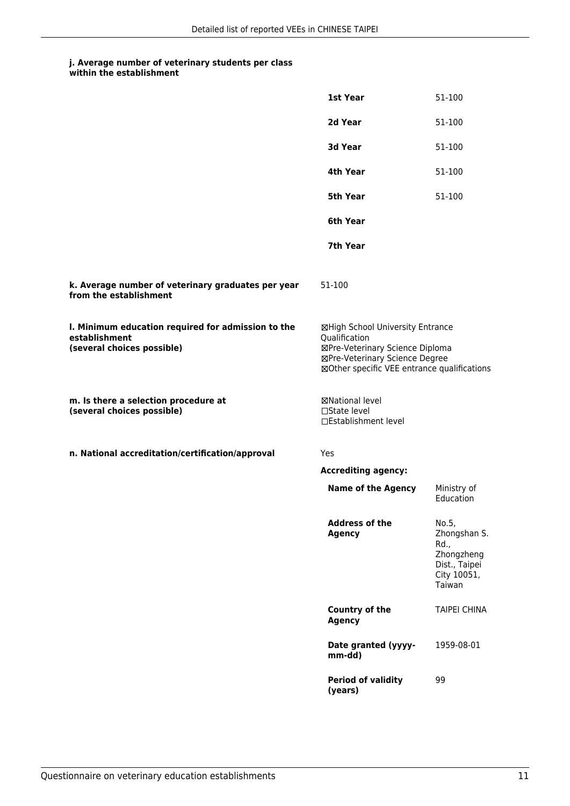**within the establishment**

|                                                                                                   | 1st Year                                                                                                                                                              | 51-100                                                                                |
|---------------------------------------------------------------------------------------------------|-----------------------------------------------------------------------------------------------------------------------------------------------------------------------|---------------------------------------------------------------------------------------|
|                                                                                                   | 2d Year                                                                                                                                                               | 51-100                                                                                |
|                                                                                                   | 3d Year                                                                                                                                                               | 51-100                                                                                |
|                                                                                                   | 4th Year                                                                                                                                                              | 51-100                                                                                |
|                                                                                                   | 5th Year                                                                                                                                                              | 51-100                                                                                |
|                                                                                                   | 6th Year                                                                                                                                                              |                                                                                       |
|                                                                                                   | 7th Year                                                                                                                                                              |                                                                                       |
| k. Average number of veterinary graduates per year<br>from the establishment                      | 51-100                                                                                                                                                                |                                                                                       |
| I. Minimum education required for admission to the<br>establishment<br>(several choices possible) | ⊠High School University Entrance<br>Qualification<br>⊠Pre-Veterinary Science Diploma<br>⊠Pre-Veterinary Science Degree<br>⊠Other specific VEE entrance qualifications |                                                                                       |
| m. Is there a selection procedure at<br>(several choices possible)                                | ⊠National level<br>□State level<br>□Establishment level                                                                                                               |                                                                                       |
| n. National accreditation/certification/approval                                                  | Yes                                                                                                                                                                   |                                                                                       |
|                                                                                                   | <b>Accrediting agency:</b>                                                                                                                                            |                                                                                       |
|                                                                                                   | <b>Name of the Agency</b>                                                                                                                                             | Ministry of<br>Education                                                              |
|                                                                                                   | <b>Address of the</b><br><b>Agency</b>                                                                                                                                | No.5,<br>Zhongshan S.<br>Rd.,<br>Zhongzheng<br>Dist., Taipei<br>City 10051,<br>Taiwan |
|                                                                                                   | Country of the<br><b>Agency</b>                                                                                                                                       | <b>TAIPEI CHINA</b>                                                                   |
|                                                                                                   | Date granted (yyyy-<br>mm-dd)                                                                                                                                         | 1959-08-01                                                                            |
|                                                                                                   | <b>Period of validity</b><br>(years)                                                                                                                                  | 99                                                                                    |